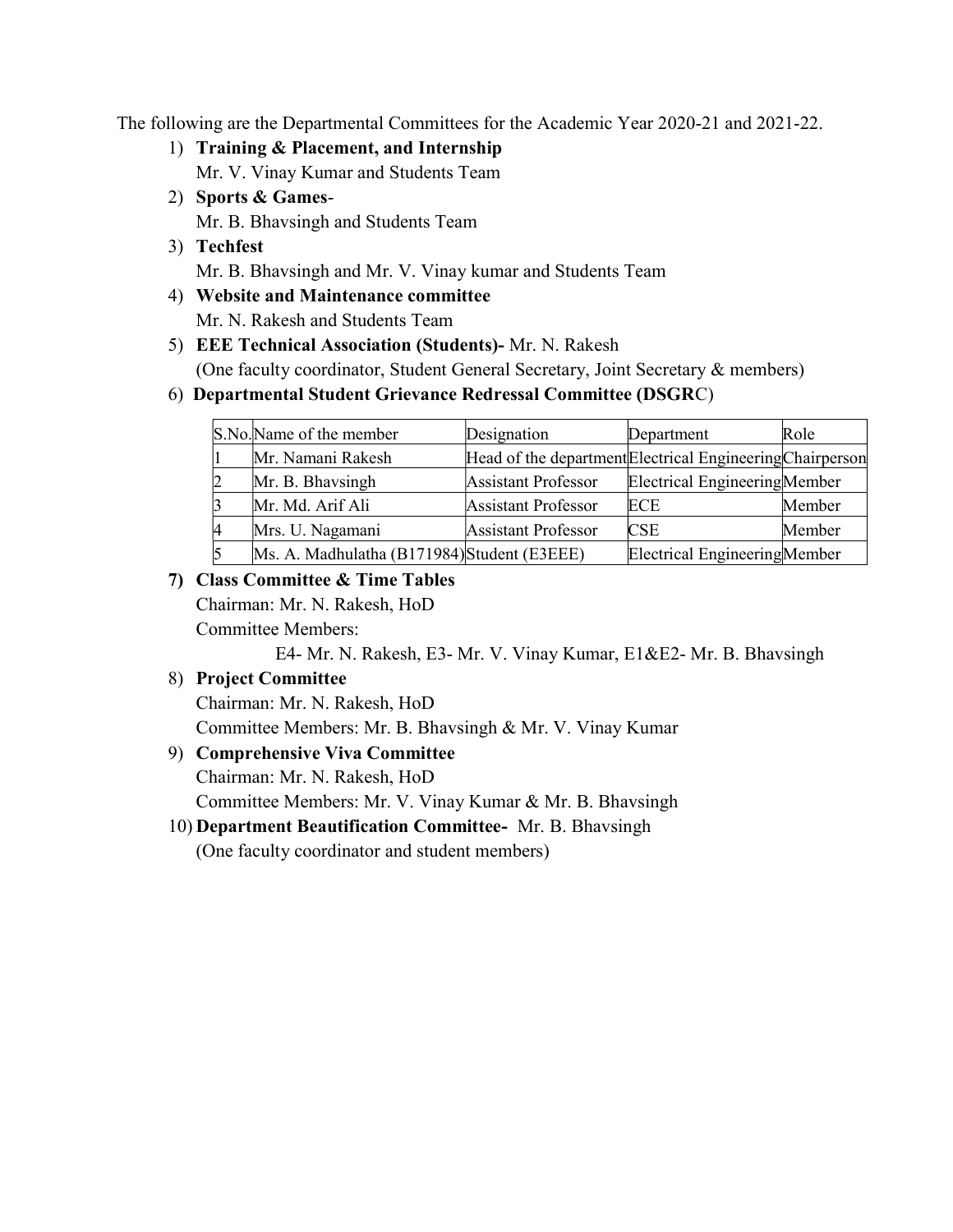The following are the Departmental Committees for the Academic Year 2020-21 and 2021-22.

- 1) Training & Placement, and Internship Mr. V. Vinay Kumar and Students Team
- 2) Sports & Games-Mr. B. Bhavsingh and Students Team
- 3) Techfest Mr. B. Bhavsingh and Mr. V. Vinay kumar and Students Team
- 4) Website and Maintenance committee Mr. N. Rakesh and Students Team
- 5) EEE Technical Association (Students)- Mr. N. Rakesh (One faculty coordinator, Student General Secretary, Joint Secretary & members)

## 6) Departmental Student Grievance Redressal Committee (DSGRC)

|    | S.No.Name of the member                     | Designation                                               | Department                    | Role   |
|----|---------------------------------------------|-----------------------------------------------------------|-------------------------------|--------|
|    | Mr. Namani Rakesh                           | Head of the department Electrical Engineering Chairperson |                               |        |
|    | Mr. B. Bhavsingh                            | <b>Assistant Professor</b>                                | Electrical Engineering Member |        |
|    | Mr. Md. Arif Ali                            | <b>Assistant Professor</b>                                | <b>ECE</b>                    | Member |
| 14 | Mrs. U. Nagamani                            | <b>Assistant Professor</b>                                | <b>CSE</b>                    | Member |
|    | Ms. A. Madhulatha (B171984) Student (E3EEE) |                                                           | Electrical Engineering Member |        |

## 7) Class Committee & Time Tables

Chairman: Mr. N. Rakesh, HoD Committee Members:

E4- Mr. N. Rakesh, E3- Mr. V. Vinay Kumar, E1&E2- Mr. B. Bhavsingh

## 8) Project Committee

Chairman: Mr. N. Rakesh, HoD Committee Members: Mr. B. Bhavsingh & Mr. V. Vinay Kumar

9) Comprehensive Viva Committee

Chairman: Mr. N. Rakesh, HoD

Committee Members: Mr. V. Vinay Kumar & Mr. B. Bhavsingh

10) Department Beautification Committee- Mr. B. Bhavsingh

(One faculty coordinator and student members)